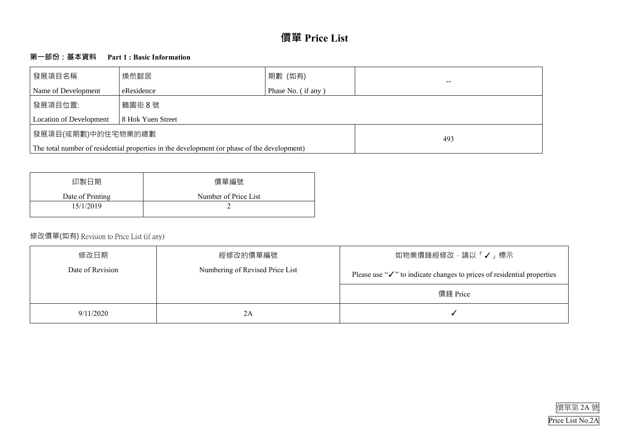

# **第一部份:基本資料 Part 1 : Basic Information**

| 發展項目名稱                                                                                      | 煥然懿居<br>期數 (如有)                  |  |  |  |  |  |  |
|---------------------------------------------------------------------------------------------|----------------------------------|--|--|--|--|--|--|
| Name of Development                                                                         | Phase No. (if any)<br>eResidence |  |  |  |  |  |  |
| 發展項目位置:                                                                                     |                                  |  |  |  |  |  |  |
| <b>Location of Development</b>                                                              |                                  |  |  |  |  |  |  |
| 發展項目(或期數)中的住宅物業的總數                                                                          | 493                              |  |  |  |  |  |  |
| The total number of residential properties in the development (or phase of the development) |                                  |  |  |  |  |  |  |

| 價單編號                 |
|----------------------|
| Number of Price List |
|                      |
|                      |

# 修改價單(如有) Revision to Price List (if any)

# 如物業價錢經修改,請以「✓」標示

rices of residential properties

| 修改日期             | 經修改的價單編號                        | 請以<br>如物業價錢經修改,                                        |
|------------------|---------------------------------|--------------------------------------------------------|
| Date of Revision | Numbering of Revised Price List | Please use " $\checkmark$ " to indicate changes to pri |
|                  |                                 | 價錢 Price                                               |
| 9/11/2020        | 2A                              |                                                        |

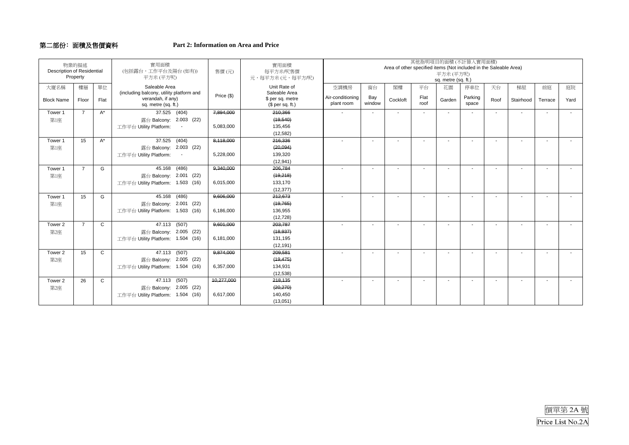#### 第二部份﹕面積及售價資料 **Part 2: Information on Area and Price**

| <b>Description of Residential</b> | 物業的描述<br>Property |              | 實用面積<br>(包括露台,工作平台及陽台(如有))<br>平方米(平方呎)                                               | 售價(元)      | 實用面積<br>每平方米/呎售價<br>元,每平方米 (元,每平方/呎)                  | 其他指明項目的面積(不計算入實用面積)<br>Area of other specified items (Not included in the Saleable Area)<br>平方米 (平方呎)<br>sq. metre (sq. ft.) |                          |                |              |                          |                  |                          |                          |         |      |
|-----------------------------------|-------------------|--------------|--------------------------------------------------------------------------------------|------------|-------------------------------------------------------|------------------------------------------------------------------------------------------------------------------------------|--------------------------|----------------|--------------|--------------------------|------------------|--------------------------|--------------------------|---------|------|
| 大廈名稱                              | 樓層                | 單位           | Saleable Area                                                                        |            | Unit Rate of                                          | 空調機房                                                                                                                         | 窗台                       | 閣樓             | 平台           | 花園                       | 停車位              | 天台                       | 梯屋                       | 前庭      | 庭院   |
| <b>Block Name</b>                 | Floor             | Flat         | (including balcony, utility platform and<br>verandah, if any)<br>sq. metre (sq. ft.) | Price (\$) | Saleable Area<br>\$ per sq. metre<br>$$$ per sq. ft.) | Air-conditioning<br>plant room                                                                                               | Bay<br>window            | Cockloft       | Flat<br>roof | Garden                   | Parking<br>space | Roof                     | Stairhood                | Terrace | Yard |
| Tower 1                           | $\overline{7}$    | $A^*$        | 37.525 (404)                                                                         | 7,894,000  | 210,366                                               |                                                                                                                              |                          | $\blacksquare$ |              | $\overline{\phantom{a}}$ |                  | $\overline{\phantom{a}}$ | $\overline{\phantom{a}}$ | $\sim$  |      |
| 第1座                               |                   |              | 露台 Balcony: 2.003 (22)                                                               |            | (19,540)                                              |                                                                                                                              |                          |                |              |                          |                  |                          |                          |         |      |
|                                   |                   |              | 工作平台 Utility Platform:                                                               | 5,083,000  | 135,456                                               |                                                                                                                              |                          |                |              |                          |                  |                          |                          |         |      |
|                                   |                   |              |                                                                                      |            | (12, 582)                                             |                                                                                                                              |                          |                |              |                          |                  |                          |                          |         |      |
| Tower 1                           | 15                | $A^*$        | 37.525 (404)                                                                         | 8,118,000  | 216,336                                               |                                                                                                                              |                          |                |              | $\overline{\phantom{a}}$ |                  |                          | $\overline{\phantom{a}}$ | $\sim$  |      |
| 第1座                               |                   |              | 露台 Balcony: 2.003 (22)                                                               |            | (20,094)                                              |                                                                                                                              |                          |                |              |                          |                  |                          |                          |         |      |
|                                   |                   |              | 工作平台 Utility Platform:                                                               | 5,228,000  | 139,320                                               |                                                                                                                              |                          |                |              |                          |                  |                          |                          |         |      |
|                                   |                   |              |                                                                                      |            | (12, 941)                                             |                                                                                                                              |                          |                |              |                          |                  |                          |                          |         |      |
| Tower 1                           | $\overline{7}$    | G            | 45.168 (486)                                                                         | 9.340.000  | 206,784                                               |                                                                                                                              | $\overline{\phantom{a}}$ | $\blacksquare$ | $\sim$       | $\blacksquare$           |                  | $\blacksquare$           |                          |         |      |
| 第1座                               |                   |              | 露台 Balcony: 2.001 (22)                                                               |            | (19,218)                                              |                                                                                                                              |                          |                |              |                          |                  |                          |                          |         |      |
|                                   |                   |              | 工作平台 Utility Platform: 1.503 (16)                                                    | 6,015,000  | 133,170                                               |                                                                                                                              |                          |                |              |                          |                  |                          |                          |         |      |
|                                   |                   |              |                                                                                      |            | (12, 377)                                             |                                                                                                                              |                          |                |              |                          |                  |                          |                          |         |      |
| Tower 1                           | 15                | G            | 45.168 (486)                                                                         | 9,606,000  | 212,673                                               | $\sim$                                                                                                                       | $\sim$                   |                |              | $\overline{\phantom{a}}$ |                  |                          | $\overline{\phantom{a}}$ |         |      |
| 第1座                               |                   |              | 露台 Balcony: 2.001 (22)                                                               |            | (19, 765)                                             |                                                                                                                              |                          |                |              |                          |                  |                          |                          |         |      |
|                                   |                   |              | 工作平台 Utility Platform: 1.503 (16)                                                    | 6,186,000  | 136,955                                               |                                                                                                                              |                          |                |              |                          |                  |                          |                          |         |      |
|                                   |                   |              |                                                                                      |            | (12, 728)                                             |                                                                                                                              |                          |                |              |                          |                  |                          |                          |         |      |
| Tower 2                           | $\overline{7}$    | C            | 47.113 (507)                                                                         | 9,601,000  | 203,787                                               |                                                                                                                              | $\overline{\phantom{a}}$ | $\blacksquare$ | $\sim$       | $\overline{\phantom{a}}$ |                  | $\blacksquare$           | $\mathbf{r}$             |         |      |
| 第2座                               |                   |              | 露台 Balcony: 2.005 (22)                                                               |            | (18, 937)                                             |                                                                                                                              |                          |                |              |                          |                  |                          |                          |         |      |
|                                   |                   |              | 工作平台 Utility Platform: 1.504 (16)                                                    | 6,181,000  | 131,195                                               |                                                                                                                              |                          |                |              |                          |                  |                          |                          |         |      |
|                                   |                   |              |                                                                                      |            | (12, 191)                                             |                                                                                                                              |                          |                |              |                          |                  |                          |                          |         |      |
| Tower 2                           | 15                | $\mathsf{C}$ | 47.113 (507)                                                                         | 9,874,000  | 209,581                                               |                                                                                                                              | $\sim$                   |                |              | $\overline{\phantom{a}}$ |                  |                          |                          | $\sim$  |      |
| 第2座                               |                   |              | 露台 Balcony: 2.005 (22)                                                               |            | (19, 475)                                             |                                                                                                                              |                          |                |              |                          |                  |                          |                          |         |      |
|                                   |                   |              | 工作平台 Utility Platform: 1.504 (16)                                                    | 6,357,000  | 134,931                                               |                                                                                                                              |                          |                |              |                          |                  |                          |                          |         |      |
|                                   |                   |              |                                                                                      |            | (12,538)                                              |                                                                                                                              |                          |                |              |                          |                  |                          |                          |         |      |
| Tower 2                           | 26                | $\mathsf C$  | 47.113 (507)                                                                         | 10,277,000 | 218,135                                               |                                                                                                                              |                          |                |              |                          |                  |                          |                          |         |      |
| 第2座                               |                   |              | 露台 Balcony: 2.005 (22)                                                               |            | (20, 270)                                             |                                                                                                                              |                          |                |              |                          |                  |                          |                          |         |      |
|                                   |                   |              | 工作平台 Utility Platform: 1.504 (16)                                                    | 6,617,000  | 140,450                                               |                                                                                                                              |                          |                |              |                          |                  |                          |                          |         |      |
|                                   |                   |              |                                                                                      |            | (13,051)                                              |                                                                                                                              |                          |                |              |                          |                  |                          |                          |         |      |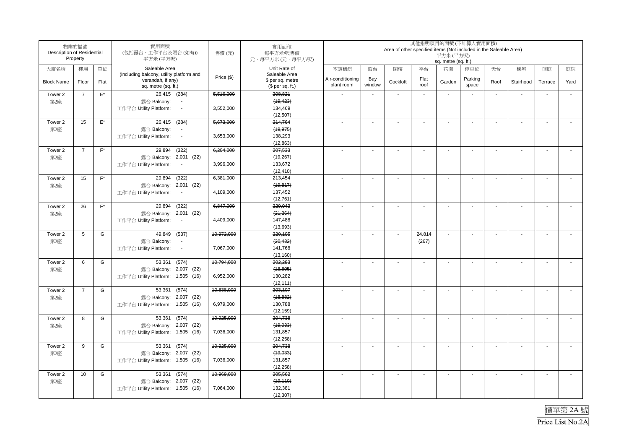| Description of Residential | 物業的描述<br>Property |                    | 實用面積<br>(包括露台,工作平台及陽台(如有))<br>平方米(平方呎)                                               | 售價(元)      | 實用面積<br>每平方米/呎售價<br>元,每平方米(元,每平方/呎)                   |                                |                          | Area of other specified items (Not included in the Saleable Area) |                          | 平方米(平方呎)<br>sq. metre (sq. ft.) | 其他指明項目的面積(不計算入實用面積)      |                          |                          |                          |                          |
|----------------------------|-------------------|--------------------|--------------------------------------------------------------------------------------|------------|-------------------------------------------------------|--------------------------------|--------------------------|-------------------------------------------------------------------|--------------------------|---------------------------------|--------------------------|--------------------------|--------------------------|--------------------------|--------------------------|
| 大廈名稱                       | 樓層                | 單位                 | Saleable Area                                                                        |            | Unit Rate of                                          | 空調機房                           | 窗台                       | 閣樓                                                                | 平台                       | 花園                              | 停車位                      | 天台                       | 梯屋                       | 前庭                       | 庭院                       |
| <b>Block Name</b>          | Floor             | Flat               | (including balcony, utility platform and<br>verandah, if any)<br>sq. metre (sq. ft.) | Price (\$) | Saleable Area<br>\$ per sq. metre<br>$$$ per sq. ft.) | Air-conditioning<br>plant room | Bay<br>window            | Cockloft                                                          | Flat<br>roof             | Garden                          | Parking<br>space         | Roof                     | Stairhood                | Terrace                  | Yard                     |
| Tower 2                    | $\overline{7}$    | $\mathsf{E}^\star$ | 26.415 (284)                                                                         | 5,516,000  | 208,821                                               |                                |                          |                                                                   | $\blacksquare$           |                                 |                          | $\blacksquare$           | $\blacksquare$           |                          |                          |
| 第2座                        |                   |                    | 露台 Balcony:                                                                          |            | (19, 423)                                             |                                |                          |                                                                   |                          |                                 |                          |                          |                          |                          |                          |
|                            |                   |                    | 工作平台 Utility Platform:<br>$\overline{\phantom{a}}$                                   | 3,552,000  | 134,469                                               |                                |                          |                                                                   |                          |                                 |                          |                          |                          |                          |                          |
|                            |                   |                    |                                                                                      |            | (12, 507)                                             |                                |                          |                                                                   |                          |                                 |                          |                          |                          |                          |                          |
| Tower 2                    | 15                | $E^*$              | 26.415 (284)                                                                         | 5,673,000  | 214,764                                               |                                | $\blacksquare$           | $\blacksquare$                                                    | $\mathbf{r}$             | $\overline{\phantom{a}}$        | $\overline{\phantom{a}}$ | $\sim$                   | $\sim$                   | $\sim$                   | $\blacksquare$           |
| 第2座                        |                   |                    | 露台 Balcony:                                                                          |            | (19, 975)                                             |                                |                          |                                                                   |                          |                                 |                          |                          |                          |                          |                          |
|                            |                   |                    | 工作平台 Utility Platform:<br>$\overline{\phantom{a}}$                                   | 3,653,000  | 138,293                                               |                                |                          |                                                                   |                          |                                 |                          |                          |                          |                          |                          |
|                            |                   |                    |                                                                                      |            | (12, 863)                                             |                                |                          |                                                                   |                          |                                 |                          |                          |                          |                          |                          |
| Tower 2                    | $\overline{7}$    | $F^*$              | 29.894 (322)                                                                         | 6,204,000  | 207,533                                               |                                | $\overline{\phantom{a}}$ | $\sim$                                                            | $\overline{\phantom{a}}$ | $\sim$                          | ۰.                       | $\sim$                   | $\sim$                   | $\sim$                   | $\sim$                   |
| 第2座                        |                   |                    | 露台 Balcony: 2.001 (22)<br>$\sim$                                                     | 3,996,000  | (19,267)<br>133,672                                   |                                |                          |                                                                   |                          |                                 |                          |                          |                          |                          |                          |
|                            |                   |                    | 工作平台 Utility Platform:                                                               |            | (12, 410)                                             |                                |                          |                                                                   |                          |                                 |                          |                          |                          |                          |                          |
| Tower 2                    | 15                | $F^*$              | 29.894<br>(322)                                                                      | 6,381,000  | 213,454                                               |                                | $\blacksquare$           |                                                                   | $\sim$                   |                                 |                          |                          | $\sim$                   | $\blacksquare$           |                          |
| 第2座                        |                   |                    | 露台 Balcony: 2.001 (22)                                                               |            | (19, 817)                                             |                                |                          |                                                                   |                          |                                 |                          |                          |                          |                          |                          |
|                            |                   |                    | 工作平台 Utility Platform:<br>$\sim$                                                     | 4,109,000  | 137,452                                               |                                |                          |                                                                   |                          |                                 |                          |                          |                          |                          |                          |
|                            |                   |                    |                                                                                      |            | (12,761)                                              |                                |                          |                                                                   |                          |                                 |                          |                          |                          |                          |                          |
| Tower 2                    | 26                | $F^*$              | (322)<br>29.894                                                                      | 6,847,000  | 229,043                                               |                                | $\blacksquare$           |                                                                   |                          |                                 |                          |                          | $\blacksquare$           | $\blacksquare$           |                          |
| 第2座                        |                   |                    | 露台 Balcony: 2.001 (22)                                                               |            | (21, 264)                                             |                                |                          |                                                                   |                          |                                 |                          |                          |                          |                          |                          |
|                            |                   |                    | 工作平台 Utility Platform:<br>$\sim$                                                     | 4,409,000  | 147,488                                               |                                |                          |                                                                   |                          |                                 |                          |                          |                          |                          |                          |
|                            |                   |                    |                                                                                      |            | (13,693)                                              |                                |                          |                                                                   |                          |                                 |                          |                          |                          |                          |                          |
| Tower 2                    | 5                 | G                  | 49.849 (537)                                                                         | 10,972,000 | 220,105                                               |                                | $\sim$                   | $\overline{a}$                                                    | 24.814                   | $\overline{\phantom{a}}$        | $\overline{\phantom{a}}$ | $\sim$                   | $\sim$                   | $\overline{\phantom{a}}$ | $\sim$                   |
| 第2座                        |                   |                    | 露台 Balcony:<br>$\sim$                                                                |            | (20, 432)                                             |                                |                          |                                                                   | (267)                    |                                 |                          |                          |                          |                          |                          |
|                            |                   |                    | 工作平台 Utility Platform:<br>$\sim$                                                     | 7,067,000  | 141,768                                               |                                |                          |                                                                   |                          |                                 |                          |                          |                          |                          |                          |
|                            |                   |                    |                                                                                      |            | (13, 160)                                             |                                |                          |                                                                   |                          |                                 |                          |                          |                          |                          |                          |
| Tower 2                    | 6                 | G                  | 53.361<br>(574)                                                                      | 10,794,000 | 202,283                                               |                                | $\blacksquare$           | $\overline{\phantom{a}}$                                          | $\sim$                   | $\sim$                          |                          |                          | $\overline{\phantom{a}}$ | $\sim$                   | $\overline{\phantom{a}}$ |
| 第2座                        |                   |                    | 露台 Balcony: 2.007 (22)                                                               |            | (18, 805)                                             |                                |                          |                                                                   |                          |                                 |                          |                          |                          |                          |                          |
|                            |                   |                    | 工作平台 Utility Platform: 1.505 (16)                                                    | 6,952,000  | 130,282                                               |                                |                          |                                                                   |                          |                                 |                          |                          |                          |                          |                          |
|                            |                   |                    |                                                                                      |            | (12, 111)                                             |                                |                          |                                                                   |                          |                                 |                          |                          |                          |                          |                          |
| Tower 2                    | $\overline{7}$    | G                  | 53.361<br>(574)                                                                      | 10,838,000 | 203,107                                               |                                | $\blacksquare$           |                                                                   | $\overline{\phantom{a}}$ |                                 |                          |                          | $\overline{\phantom{a}}$ | $\overline{\phantom{a}}$ |                          |
| 第2座                        |                   |                    | 露台 Balcony: 2.007 (22)                                                               |            | (18, 882)                                             |                                |                          |                                                                   |                          |                                 |                          |                          |                          |                          |                          |
|                            |                   |                    | 工作平台 Utility Platform: 1.505 (16)                                                    | 6,979,000  | 130,788                                               |                                |                          |                                                                   |                          |                                 |                          |                          |                          |                          |                          |
| Tower 2                    | 8                 | G                  | 53.361 (574)                                                                         | 10,925,000 | (12, 159)<br>204,738                                  |                                | $\overline{\phantom{a}}$ | $\overline{a}$                                                    |                          | $\sim$                          |                          |                          | $\overline{\phantom{a}}$ | $\sim$                   |                          |
| 第2座                        |                   |                    | 露台 Balcony: 2.007 (22)                                                               |            | (19, 033)                                             |                                |                          |                                                                   |                          |                                 |                          |                          |                          |                          |                          |
|                            |                   |                    | 工作平台 Utility Platform: 1.505 (16)                                                    | 7,036,000  | 131,857                                               |                                |                          |                                                                   |                          |                                 |                          |                          |                          |                          |                          |
|                            |                   |                    |                                                                                      |            | (12, 258)                                             |                                |                          |                                                                   |                          |                                 |                          |                          |                          |                          |                          |
| Tower 2                    | 9                 | G                  | 53.361<br>(574)                                                                      | 10,925,000 | 204,738                                               |                                | $\overline{\phantom{a}}$ |                                                                   |                          | $\overline{\phantom{a}}$        |                          |                          | $\overline{\phantom{a}}$ | $\sim$                   |                          |
| 第2座                        |                   |                    | 露台 Balcony: 2.007 (22)                                                               |            | (19, 033)                                             |                                |                          |                                                                   |                          |                                 |                          |                          |                          |                          |                          |
|                            |                   |                    | 工作平台 Utility Platform: 1.505 (16)                                                    | 7,036,000  | 131,857                                               |                                |                          |                                                                   |                          |                                 |                          |                          |                          |                          |                          |
|                            |                   |                    |                                                                                      |            | (12, 258)                                             |                                |                          |                                                                   |                          |                                 |                          |                          |                          |                          |                          |
| Tower 2                    | 10                | G                  | 53.361 (574)                                                                         | 10,969,000 | 205,562                                               |                                | $\sim$                   | $\blacksquare$                                                    | $\sim$                   | $\sim$                          |                          | $\overline{\phantom{a}}$ | $\overline{\phantom{a}}$ | $\blacksquare$           | $\blacksquare$           |
| 第2座                        |                   |                    | 露台 Balcony: 2.007 (22)                                                               |            | (19, 110)                                             |                                |                          |                                                                   |                          |                                 |                          |                          |                          |                          |                          |
|                            |                   |                    | 工作平台 Utility Platform: 1.505 (16)                                                    | 7,064,000  | 132,381                                               |                                |                          |                                                                   |                          |                                 |                          |                          |                          |                          |                          |
|                            |                   |                    |                                                                                      |            | (12, 307)                                             |                                |                          |                                                                   |                          |                                 |                          |                          |                          |                          |                          |

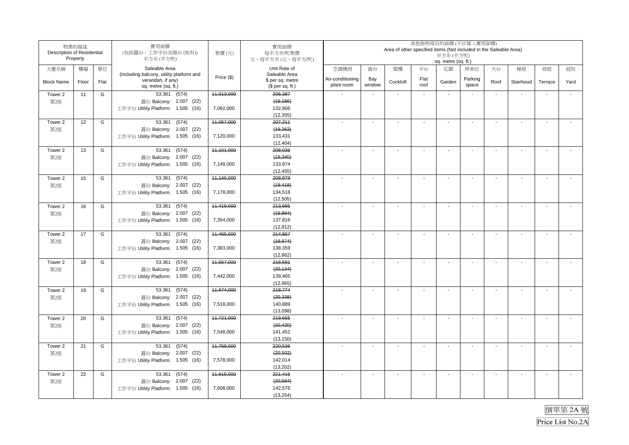| Description of Residential | 物業的描述<br>Property |      | 實用面積<br>(包括露台,工作平台及陽台(如有))<br>平方米(平方呎)                                               | 售價(元)      | 實用面積<br>每平方米/呎售價<br>元,每平方米(元,每平方/呎)                   | 其他指明項目的面積(不計算入實用面積)<br>Area of other specified items (Not included in the Saleable Area)<br>平方米(平方呎)<br>sq. metre (sq. ft.) |                          |                          |                |                          |                          |                |                          |                          |                |  |  |
|----------------------------|-------------------|------|--------------------------------------------------------------------------------------|------------|-------------------------------------------------------|-----------------------------------------------------------------------------------------------------------------------------|--------------------------|--------------------------|----------------|--------------------------|--------------------------|----------------|--------------------------|--------------------------|----------------|--|--|
| 大廈名稱                       | 樓層                | 單位   | Saleable Area                                                                        |            | Unit Rate of                                          | 空調機房                                                                                                                        | 窗台                       | 閣樓                       | 平台             | 花園                       | 停車位                      | 天台             | 梯屋                       | 前庭                       | 庭院             |  |  |
| <b>Block Name</b>          | Floor             | Flat | (including balcony, utility platform and<br>verandah, if any)<br>sq. metre (sq. ft.) | Price (\$) | Saleable Area<br>\$ per sq. metre<br>$$$ per sq. ft.) | Air-conditioning<br>plant room                                                                                              | Bay<br>window            | Cockloft                 | Flat<br>roof   | Garden                   | Parking<br>space         | Roof           | Stairhood                | Terrace                  | Yard           |  |  |
| Tower 2                    | 11                | G    | 53.361 (574)                                                                         | 11,013,000 | 206,387                                               |                                                                                                                             | $\sim$                   |                          | $\mathbf{r}$   | $\sim$                   | $\overline{\phantom{a}}$ | $\sim$         |                          | $\sim$                   |                |  |  |
| 第2座                        |                   |      | 露台 Balcony: 2.007 (22)                                                               |            | (19, 186)                                             |                                                                                                                             |                          |                          |                |                          |                          |                |                          |                          |                |  |  |
|                            |                   |      | 工作平台 Utility Platform: 1.505 (16)                                                    | 7,092,000  | 132,906                                               |                                                                                                                             |                          |                          |                |                          |                          |                |                          |                          |                |  |  |
|                            |                   |      |                                                                                      |            | (12, 355)                                             |                                                                                                                             |                          |                          |                |                          |                          |                |                          |                          |                |  |  |
| Tower 2                    | 12                | G    | 53.361 (574)                                                                         | 11,057,000 | 207,211                                               |                                                                                                                             | $\blacksquare$           |                          |                |                          |                          |                | $\blacksquare$           | $\blacksquare$           |                |  |  |
| 第2座                        |                   |      | 露台 Balcony: 2.007 (22)                                                               | 7,120,000  | (19,263)<br>133,431                                   |                                                                                                                             |                          |                          |                |                          |                          |                |                          |                          |                |  |  |
|                            |                   |      | 工作平台 Utility Platform: 1.505 (16)                                                    |            | (12, 404)                                             |                                                                                                                             |                          |                          |                |                          |                          |                |                          |                          |                |  |  |
| Tower 2                    | 13                | G    | 53.361 (574)                                                                         | 11,101,000 | 208,036                                               |                                                                                                                             | $\sim$                   |                          | ÷,             | $\sim$                   |                          |                | $\ddot{\phantom{a}}$     | $\overline{\phantom{a}}$ |                |  |  |
| 第2座                        |                   |      | 露台 Balcony: 2.007 (22)                                                               |            | (19, 340)                                             |                                                                                                                             |                          |                          |                |                          |                          |                |                          |                          |                |  |  |
|                            |                   |      | 工作平台 Utility Platform: 1.505 (16)                                                    | 7,149,000  | 133,974                                               |                                                                                                                             |                          |                          |                |                          |                          |                |                          |                          |                |  |  |
|                            |                   |      |                                                                                      |            | (12, 455)                                             |                                                                                                                             |                          |                          |                |                          |                          |                |                          |                          |                |  |  |
| Tower 2                    | 15                | G    | 53.361<br>(574)                                                                      | 11,146,000 | 208,879                                               |                                                                                                                             | $\blacksquare$           |                          | $\blacksquare$ |                          |                          |                | $\sim$                   | $\mathbf{r}$             |                |  |  |
| 第2座                        |                   |      | 露台 Balcony: 2.007 (22)                                                               |            | (19, 418)                                             |                                                                                                                             |                          |                          |                |                          |                          |                |                          |                          |                |  |  |
|                            |                   |      | 工作平台 Utility Platform: 1.505 (16)                                                    | 7,178,000  | 134,518                                               |                                                                                                                             |                          |                          |                |                          |                          |                |                          |                          |                |  |  |
|                            |                   |      |                                                                                      |            | (12, 505)                                             |                                                                                                                             |                          |                          |                |                          |                          |                |                          |                          |                |  |  |
| Tower 2                    | 16                | G    | (574)<br>53.361                                                                      | 11,419,000 | 213,995                                               |                                                                                                                             | $\blacksquare$           | ÷,                       | $\sim$         | $\overline{\phantom{a}}$ |                          |                | $\sim$                   | $\blacksquare$           |                |  |  |
| 第2座                        |                   |      | 露台 Balcony: 2.007 (22)                                                               |            | (19, 894)                                             |                                                                                                                             |                          |                          |                |                          |                          |                |                          |                          |                |  |  |
|                            |                   |      | 工作平台 Utility Platform: 1.505 (16)                                                    | 7,354,000  | 137,816                                               |                                                                                                                             |                          |                          |                |                          |                          |                |                          |                          |                |  |  |
|                            |                   |      |                                                                                      |            | (12, 812)                                             |                                                                                                                             |                          |                          |                |                          |                          |                |                          |                          |                |  |  |
| Tower 2                    | 17                | G    | 53.361 (574)                                                                         | 11,465,000 | 214,857                                               |                                                                                                                             |                          |                          |                |                          |                          |                | $\blacksquare$           | $\blacksquare$           |                |  |  |
| 第2座                        |                   |      | 露台 Balcony: 2.007 (22)                                                               |            | (19, 974)                                             |                                                                                                                             |                          |                          |                |                          |                          |                |                          |                          |                |  |  |
|                            |                   |      | 工作平台 Utility Platform: 1.505 (16)                                                    | 7,383,000  | 138,359                                               |                                                                                                                             |                          |                          |                |                          |                          |                |                          |                          |                |  |  |
|                            |                   |      |                                                                                      |            | (12, 862)                                             |                                                                                                                             | $\sim$                   | ÷,                       | $\sim$         | $\sim$                   |                          |                | $\sim$                   | $\mathbf{r}$             |                |  |  |
| Tower 2                    | 18                | G    | 53.361 (574)                                                                         | 11,557,000 | 216,581<br>(20, 134)                                  |                                                                                                                             |                          |                          |                |                          | $\overline{\phantom{a}}$ |                |                          |                          |                |  |  |
| 第2座                        |                   |      | 露台 Balcony: 2.007 (22)<br>工作平台 Utility Platform: 1.505 (16)                          | 7,442,000  | 139,465                                               |                                                                                                                             |                          |                          |                |                          |                          |                |                          |                          |                |  |  |
|                            |                   |      |                                                                                      |            | (12, 965)                                             |                                                                                                                             |                          |                          |                |                          |                          |                |                          |                          |                |  |  |
| Tower 2                    | 19                | G    | 53.361 (574)                                                                         | 11,674,000 | 218,774                                               |                                                                                                                             | $\overline{\phantom{a}}$ |                          |                | $\overline{\phantom{a}}$ |                          |                | $\overline{\phantom{a}}$ | $\sim$                   |                |  |  |
| 第2座                        |                   |      | 露台 Balcony: 2.007 (22)                                                               |            | (20, 338)                                             |                                                                                                                             |                          |                          |                |                          |                          |                |                          |                          |                |  |  |
|                            |                   |      | 工作平台 Utility Platform: 1.505 (16)                                                    | 7,518,000  | 140,889                                               |                                                                                                                             |                          |                          |                |                          |                          |                |                          |                          |                |  |  |
|                            |                   |      |                                                                                      |            | (13,098)                                              |                                                                                                                             |                          |                          |                |                          |                          |                |                          |                          |                |  |  |
| Tower 2                    | 20                | G    | (574)<br>53.361                                                                      | 11,721,000 | 219,655                                               |                                                                                                                             | $\blacksquare$           | $\overline{\phantom{a}}$ | $\blacksquare$ | $\sim$                   |                          |                | $\sim$                   | $\mathbf{r}$             | $\blacksquare$ |  |  |
| 第2座                        |                   |      | 露台 Balcony: 2.007 (22)                                                               |            | (20, 420)                                             |                                                                                                                             |                          |                          |                |                          |                          |                |                          |                          |                |  |  |
|                            |                   |      | 工作平台 Utility Platform: 1.505 (16)                                                    | 7,548,000  | 141,452                                               |                                                                                                                             |                          |                          |                |                          |                          |                |                          |                          |                |  |  |
|                            |                   |      |                                                                                      |            | (13, 150)                                             |                                                                                                                             |                          |                          |                |                          |                          |                |                          |                          |                |  |  |
| Tower 2                    | 21                | G    | (574)<br>53.361                                                                      | 11,768,000 | 220,536                                               |                                                                                                                             |                          |                          |                |                          |                          |                | $\blacksquare$           | $\blacksquare$           |                |  |  |
| 第2座                        |                   |      | 露台 Balcony: 2.007 (22)                                                               |            | (20, 502)                                             |                                                                                                                             |                          |                          |                |                          |                          |                |                          |                          |                |  |  |
|                            |                   |      | 工作平台 Utility Platform: 1.505 (16)                                                    | 7,578,000  | 142,014                                               |                                                                                                                             |                          |                          |                |                          |                          |                |                          |                          |                |  |  |
|                            |                   |      |                                                                                      |            | (13,202)                                              |                                                                                                                             |                          |                          |                |                          |                          |                |                          |                          |                |  |  |
| Tower 2                    | 22                | G    | 53.361 (574)                                                                         | 11,815,000 | 221,416                                               |                                                                                                                             | $\sim$                   | ÷,                       | $\sim$         | $\overline{\phantom{a}}$ |                          | $\blacksquare$ | $\sim$                   | $\overline{\phantom{a}}$ |                |  |  |
| 第2座                        |                   |      | 露台 Balcony: 2.007 (22)                                                               |            | (20, 584)                                             |                                                                                                                             |                          |                          |                |                          |                          |                |                          |                          |                |  |  |
|                            |                   |      | 工作平台 Utility Platform: 1.505 (16)                                                    | 7,608,000  | 142,576                                               |                                                                                                                             |                          |                          |                |                          |                          |                |                          |                          |                |  |  |
|                            |                   |      |                                                                                      |            | (13, 254)                                             |                                                                                                                             |                          |                          |                |                          |                          |                |                          |                          |                |  |  |

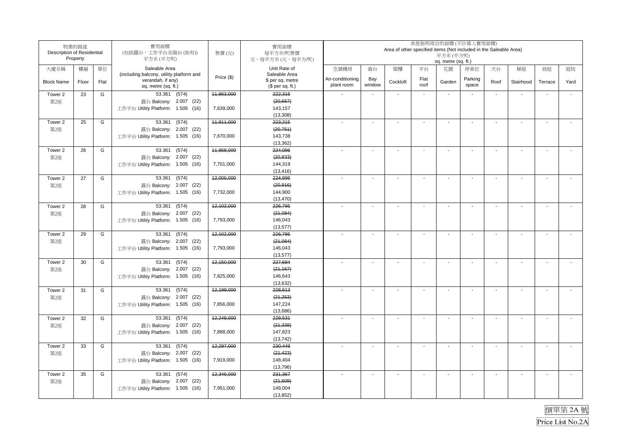| 物業的描述<br>Description of Residential<br>Property |       |      | 實用面積<br>(包括露台,工作平台及陽台(如有))<br>平方米(平方呎)                                               | 售價(元)      | 實用面積<br>每平方米/呎售價<br>元,每平方米(元,每平方/呎)                   | 其他指明項目的面積(不計算入實用面積)<br>Area of other specified items (Not included in the Saleable Area)<br>平方米(平方呎)<br>sq. metre (sq. ft.) |                          |                          |                |                          |                          |                |                          |                          |                |
|-------------------------------------------------|-------|------|--------------------------------------------------------------------------------------|------------|-------------------------------------------------------|-----------------------------------------------------------------------------------------------------------------------------|--------------------------|--------------------------|----------------|--------------------------|--------------------------|----------------|--------------------------|--------------------------|----------------|
| 大廈名稱                                            | 樓層    | 單位   | Saleable Area                                                                        |            | Unit Rate of                                          | 空調機房                                                                                                                        | 窗台                       | 閣樓                       | 平台             | 花園                       | 停車位                      | 天台             | 梯屋                       | 前庭                       | 庭院             |
| <b>Block Name</b>                               | Floor | Flat | (including balcony, utility platform and<br>verandah, if any)<br>sq. metre (sq. ft.) | Price (\$) | Saleable Area<br>\$ per sq. metre<br>$$$ per sq. ft.) | Air-conditioning<br>plant room                                                                                              | Bay<br>window            | Cockloft                 | Flat<br>roof   | Garden                   | Parking<br>space         | Roof           | Stairhood                | Terrace                  | Yard           |
| Tower 2                                         | 23    | G    | 53.361 (574)                                                                         | 11,863,000 | 222,316                                               |                                                                                                                             | $\sim$                   |                          | $\mathbf{r}$   | $\sim$                   |                          | $\sim$         |                          | $\sim$                   |                |
| 第2座                                             |       |      | 露台 Balcony: 2.007 (22)                                                               |            | (20, 667)                                             |                                                                                                                             |                          |                          |                |                          |                          |                |                          |                          |                |
|                                                 |       |      | 工作平台 Utility Platform: 1.505 (16)                                                    | 7,639,000  | 143,157                                               |                                                                                                                             |                          |                          |                |                          |                          |                |                          |                          |                |
|                                                 |       |      |                                                                                      |            | (13,308)                                              |                                                                                                                             |                          |                          |                |                          |                          |                |                          |                          |                |
| Tower 2                                         | 25    | G    | 53.361 (574)                                                                         | 11,911,000 | 223,215                                               |                                                                                                                             | $\blacksquare$           |                          |                |                          |                          |                | $\blacksquare$           | $\overline{\phantom{a}}$ |                |
| 第2座                                             |       |      | 露台 Balcony: 2.007 (22)                                                               |            | (20, 751)                                             |                                                                                                                             |                          |                          |                |                          |                          |                |                          |                          |                |
|                                                 |       |      | 工作平台 Utility Platform: 1.505 (16)                                                    | 7,670,000  | 143,738                                               |                                                                                                                             |                          |                          |                |                          |                          |                |                          |                          |                |
|                                                 | 26    | G    | 53.361 (574)                                                                         | 11,958,000 | (13, 362)<br>224,096                                  |                                                                                                                             | $\sim$                   |                          | ÷,             | $\sim$                   |                          |                | $\ddot{\phantom{a}}$     | $\blacksquare$           |                |
| Tower 2<br>第2座                                  |       |      | 露台 Balcony: 2.007 (22)                                                               |            | (20, 833)                                             |                                                                                                                             |                          |                          |                |                          |                          |                |                          |                          |                |
|                                                 |       |      | 工作平台 Utility Platform: 1.505 (16)                                                    | 7,701,000  | 144,319                                               |                                                                                                                             |                          |                          |                |                          |                          |                |                          |                          |                |
|                                                 |       |      |                                                                                      |            | (13, 416)                                             |                                                                                                                             |                          |                          |                |                          |                          |                |                          |                          |                |
| Tower 2                                         | 27    | G    | 53.361<br>(574)                                                                      | 12,006,000 | 224,996                                               |                                                                                                                             | $\blacksquare$           |                          | $\blacksquare$ |                          |                          |                | $\sim$                   | $\mathbf{r}$             |                |
| 第2座                                             |       |      | 露台 Balcony: 2.007 (22)                                                               |            | (20, 916)                                             |                                                                                                                             |                          |                          |                |                          |                          |                |                          |                          |                |
|                                                 |       |      | 工作平台 Utility Platform: 1.505 (16)                                                    | 7,732,000  | 144,900                                               |                                                                                                                             |                          |                          |                |                          |                          |                |                          |                          |                |
|                                                 |       |      |                                                                                      |            | (13, 470)                                             |                                                                                                                             |                          |                          |                |                          |                          |                |                          |                          |                |
| Tower 2                                         | 28    | G    | (574)<br>53.361                                                                      | 12,102,000 | 226,795                                               |                                                                                                                             | $\blacksquare$           | ÷,                       | $\sim$         | $\overline{\phantom{a}}$ |                          |                | $\sim$                   | $\blacksquare$           |                |
| 第2座                                             |       |      | 露台 Balcony: 2.007 (22)                                                               |            | (21, 084)                                             |                                                                                                                             |                          |                          |                |                          |                          |                |                          |                          |                |
|                                                 |       |      | 工作平台 Utility Platform: 1.505 (16)                                                    | 7,793,000  | 146,043                                               |                                                                                                                             |                          |                          |                |                          |                          |                |                          |                          |                |
|                                                 |       |      |                                                                                      |            | (13, 577)                                             |                                                                                                                             |                          |                          |                |                          |                          |                |                          |                          |                |
| Tower 2                                         | 29    | G    | 53.361 (574)                                                                         | 12,102,000 | 226,795                                               |                                                                                                                             |                          |                          |                |                          |                          |                | $\blacksquare$           | $\blacksquare$           |                |
| 第2座                                             |       |      | 露台 Balcony: 2.007 (22)                                                               |            | (21, 084)                                             |                                                                                                                             |                          |                          |                |                          |                          |                |                          |                          |                |
|                                                 |       |      | 工作平台 Utility Platform: 1.505 (16)                                                    | 7,793,000  | 146,043                                               |                                                                                                                             |                          |                          |                |                          |                          |                |                          |                          |                |
|                                                 |       |      |                                                                                      |            | (13, 577)                                             |                                                                                                                             |                          |                          |                |                          |                          |                |                          |                          |                |
| Tower 2                                         | 30    | G    | 53.361 (574)                                                                         | 12,150,000 | 227,694                                               |                                                                                                                             | $\sim$                   | ÷,                       | $\sim$         | $\sim$                   | $\overline{\phantom{a}}$ |                | $\sim$                   | $\mathbf{r}$             |                |
| 第2座                                             |       |      | 露台 Balcony: 2.007 (22)                                                               |            | (21, 167)                                             |                                                                                                                             |                          |                          |                |                          |                          |                |                          |                          |                |
|                                                 |       |      | 工作平台 Utility Platform: 1.505 (16)                                                    | 7,825,000  | 146,643                                               |                                                                                                                             |                          |                          |                |                          |                          |                |                          |                          |                |
|                                                 |       |      |                                                                                      |            | (13, 632)                                             |                                                                                                                             |                          |                          |                |                          |                          |                |                          |                          |                |
| Tower 2                                         | 31    | G    | 53.361 (574)                                                                         | 12,199,000 | 228,613                                               |                                                                                                                             | $\overline{\phantom{a}}$ |                          |                | $\overline{\phantom{a}}$ |                          |                | $\overline{\phantom{a}}$ | $\sim$                   |                |
| 第2座                                             |       |      | 露台 Balcony: 2.007 (22)                                                               | 7,856,000  | (21, 253)<br>147,224                                  |                                                                                                                             |                          |                          |                |                          |                          |                |                          |                          |                |
|                                                 |       |      | 工作平台 Utility Platform: 1.505 (16)                                                    |            | (13,686)                                              |                                                                                                                             |                          |                          |                |                          |                          |                |                          |                          |                |
| Tower 2                                         | 32    | G    | (574)<br>53.361                                                                      | 12,248,000 | 229,531                                               |                                                                                                                             | $\blacksquare$           | $\overline{\phantom{a}}$ | $\blacksquare$ |                          |                          |                | $\sim$                   | $\mathbf{r}$             | $\blacksquare$ |
| 第2座                                             |       |      | 露台 Balcony: 2.007 (22)                                                               |            | (21, 338)                                             |                                                                                                                             |                          |                          |                |                          |                          |                |                          |                          |                |
|                                                 |       |      | 工作平台 Utility Platform: 1.505 (16)                                                    | 7,888,000  | 147,823                                               |                                                                                                                             |                          |                          |                |                          |                          |                |                          |                          |                |
|                                                 |       |      |                                                                                      |            | (13, 742)                                             |                                                                                                                             |                          |                          |                |                          |                          |                |                          |                          |                |
| Tower 2                                         | 33    | G    | (574)<br>53.361                                                                      | 12,297,000 | 230,449                                               |                                                                                                                             |                          |                          |                |                          |                          |                | $\blacksquare$           | $\blacksquare$           |                |
| 第2座                                             |       |      | 露台 Balcony: 2.007 (22)                                                               |            | (21, 423)                                             |                                                                                                                             |                          |                          |                |                          |                          |                |                          |                          |                |
|                                                 |       |      | 工作平台 Utility Platform: 1.505 (16)                                                    | 7,919,000  | 148,404                                               |                                                                                                                             |                          |                          |                |                          |                          |                |                          |                          |                |
|                                                 |       |      |                                                                                      |            | (13,796)                                              |                                                                                                                             |                          |                          |                |                          |                          |                |                          |                          |                |
| Tower 2                                         | 35    | G    | 53.361 (574)                                                                         | 12,346,000 | 231,367                                               |                                                                                                                             | $\sim$                   | ÷,                       | $\sim$         | $\overline{\phantom{a}}$ |                          | $\blacksquare$ | $\blacksquare$           | $\overline{\phantom{a}}$ |                |
| 第2座                                             |       |      | 露台 Balcony: 2.007 (22)                                                               |            | (21, 509)                                             |                                                                                                                             |                          |                          |                |                          |                          |                |                          |                          |                |
|                                                 |       |      | 工作平台 Utility Platform: 1.505 (16)                                                    | 7,951,000  | 149,004                                               |                                                                                                                             |                          |                          |                |                          |                          |                |                          |                          |                |
|                                                 |       |      |                                                                                      |            | (13, 852)                                             |                                                                                                                             |                          |                          |                |                          |                          |                |                          |                          |                |

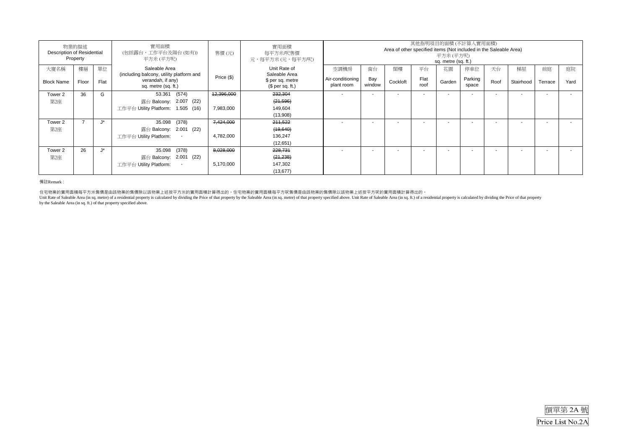| Description of Residential | 物業的描述<br>Property |               | 實用面積<br>(包括露台,工作平台及陽台(如有))<br>平方米(平方呎)                                               | 實用面積<br>每平方米/呎售價<br>元,每平方米(元,每平方/呎) | 其他指明項目的面積(不計算入實用面積)<br>Area of other specified items (Not included in the Saleable Area)<br>平方米 (平方呎)<br>sq. metre (sq. ft.) |                                |                          |                          |              |                          |                          |      |                          |         |      |
|----------------------------|-------------------|---------------|--------------------------------------------------------------------------------------|-------------------------------------|------------------------------------------------------------------------------------------------------------------------------|--------------------------------|--------------------------|--------------------------|--------------|--------------------------|--------------------------|------|--------------------------|---------|------|
| 大廈名稱                       | 樓層                | 單位            | Saleable Area                                                                        |                                     | Unit Rate of                                                                                                                 | 空調機房                           | 窗台                       | 閣樓                       | 平台           | 花園                       | 停車位                      | 天台   | 梯屋                       | 前庭      | 庭院   |
| <b>Block Name</b>          | Floor             | Flat          | (including balcony, utility platform and<br>verandah, if any)<br>sq. metre (sq. ft.) | Price (\$)                          | Saleable Area<br>\$ per sq. metre<br>$$$ per sq. ft.)                                                                        | Air-conditioning<br>plant room | Bay<br>window            | Cockloft                 | Flat<br>roof | Garden                   | Parking<br>space         | Roof | Stairhood                | Terrace | Yard |
| Tower 2                    | 36                | G             | 53.361 (574)                                                                         | 12,396,000                          | 232,304                                                                                                                      |                                | $\sim$                   | $\overline{\phantom{a}}$ | $\sim$       | $\overline{\phantom{a}}$ |                          |      | $\mathbf{r}$             |         |      |
| 第2座                        |                   |               | 露台 Balcony: 2.007 (22)                                                               |                                     | (21, 596)                                                                                                                    |                                |                          |                          |              |                          |                          |      |                          |         |      |
|                            |                   |               | 工作平台 Utility Platform: 1.505 (16)                                                    | 7,983,000                           | 149,604                                                                                                                      |                                |                          |                          |              |                          |                          |      |                          |         |      |
|                            |                   |               |                                                                                      |                                     | (13,908)                                                                                                                     |                                |                          |                          |              |                          |                          |      |                          |         |      |
| Tower 2                    |                   | $\rightarrow$ | 35.098 (378)                                                                         | 7,424,000                           | 211,522                                                                                                                      |                                | $\overline{\phantom{a}}$ |                          |              |                          |                          |      |                          |         |      |
| 第2座                        |                   |               | 露台 Balcony: 2.001 (22)                                                               |                                     | (19,640)                                                                                                                     |                                |                          |                          |              |                          |                          |      |                          |         |      |
|                            |                   |               | 工作平台 Utility Platform:<br>$\sim$                                                     | 4,782,000                           | 136,247                                                                                                                      |                                |                          |                          |              |                          |                          |      |                          |         |      |
|                            |                   |               |                                                                                      |                                     | (12,651)                                                                                                                     |                                |                          |                          |              |                          |                          |      |                          |         |      |
| Tower 2                    | 26                | $J^*$         | (378)<br>35.098                                                                      | 8,028,000                           | 228,731                                                                                                                      |                                | $\sim$                   | $\overline{\phantom{a}}$ | $\sim$       | $\overline{\phantom{a}}$ | $\overline{\phantom{a}}$ |      | $\overline{\phantom{a}}$ | ۰.      |      |
| 第2座                        |                   |               | 露台 Balcony: 2.001 (22)                                                               |                                     | (21, 238)                                                                                                                    |                                |                          |                          |              |                          |                          |      |                          |         |      |
|                            |                   |               | 工作平台 Utility Platform:                                                               | 5,170,000                           | 147,302                                                                                                                      |                                |                          |                          |              |                          |                          |      |                          |         |      |
|                            |                   |               |                                                                                      |                                     | (13, 677)                                                                                                                    |                                |                          |                          |              |                          |                          |      |                          |         |      |

備註Remark:

住宅物業的實用面積每平方米售價是由該物業的售價除以該物業上述按平方米的實用面積計算得出的。住宅物業的實用面積每平方呎售價是由該物業的售價除以該物業上述按平方呎的實用面積計算得出的。<br>Unit Rate of Saleable Area (in sq. metre) of a residential property is calculated by dividing the Price of that property by the Sa

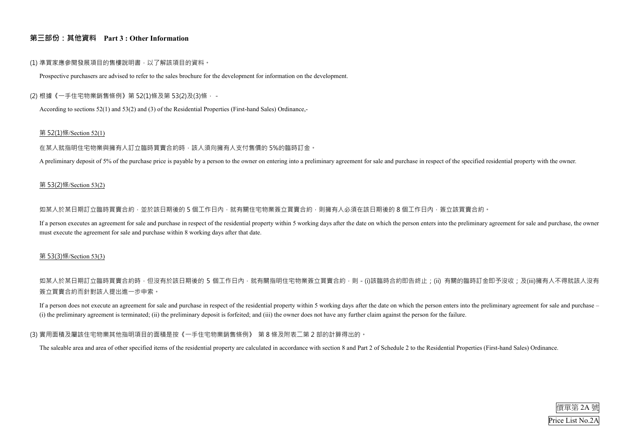

# **第三部份:其他資料 Part 3 : Other Information**

# (1) 準買家應參閱發展項目的售樓說明書,以了解該項目的資料。

Prospective purchasers are advised to refer to the sales brochure for the development for information on the development.

# (2) 根據《一手住宅物業銷售條例》第 52(1)條及第 53(2)及(3)條,

According to sections 52(1) and 53(2) and (3) of the Residential Properties (First-hand Sales) Ordinance,-

#### 第 52(1)條/Section 52(1)

在某人就指明住宅物業與擁有人訂立臨時買賣合約時,該人須向擁有人支付售價的 5%的臨時訂金。

如某人於某日期訂立臨時買賣合約,並於該日期後的 5 個工作日內,就有關住宅物業簽立買賣合約,則擁有人必須在該日期後的 8 個工作日內,簽立該買賣合約。 If a person executes an agreement for sale and purchase in respect of the residential property within 5 working days after the date on which the person enters into the preliminary agreement for sale and purchase, the owner must execute the agreement for sale and purchase within 8 working days after that date.

A preliminary deposit of 5% of the purchase price is payable by a person to the owner on entering into a preliminary agreement for sale and purchase in respect of the specified residential property with the owner.

如某人於某日期訂立臨時買賣合約時,但沒有於該日期後的 5 個工作日內,就有關指明住宅物業簽立買賣合約,則 - (i)該臨時合約即告終止;(ii) 有關的臨時訂金即予沒收;及(iii)擁有人不得就該人沒有 簽立買賣合約而針對該人提出進一步申索。

## 第 53(2)條/Section 53(2)

If a person does not execute an agreement for sale and purchase in respect of the residential property within 5 working days after the date on which the person enters into the preliminary agreement for sale and purchase – (i) the preliminary agreement is terminated; (ii) the preliminary deposit is forfeited; and (iii) the owner does not have any further claim against the person for the failure.

## 第 53(3)條/Section 53(3)

# (3) 實用面積及屬該住宅物業其他指明項目的面積是按《一手住宅物業銷售條例》 第 8 條及附表二第 2 部的計算得出的。

The saleable area and area of other specified items of the residential property are calculated in accordance with section 8 and Part 2 of Schedule 2 to the Residential Properties (First-hand Sales) Ordinance.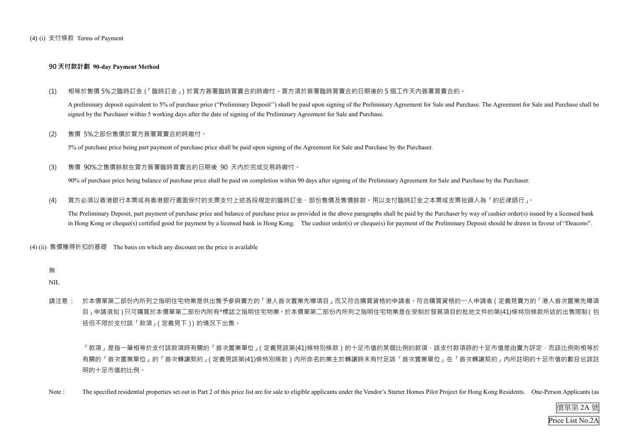價單第 2A 號 Price List No.2A

(4) (i) 支付條款 Terms of Payment

## **90 天付款計劃 90-day Payment Method**

(1) 相等於售價 5%之臨時訂金(「臨時訂金」)於買方簽署臨時買賣合約時繳付。買方須於簽署臨時買賣合約日期後的 5 個工作天內簽署買賣合約。

A preliminary deposit equivalent to 5% of purchase price ("Preliminary Deposit'') shall be paid upon signing of the Preliminary Agreement for Sale and Purchase. The Agreement for Sale and Purchase shall be signed by the Purchaser within 5 working days after the date of signing of the Preliminary Agreement for Sale and Purchase.

(2) 售價 5%之部份售價於買方簽署買賣合約時繳付。

5% of purchase price being part payment of purchase price shall be paid upon signing of the Agreement for Sale and Purchase by the Purchaser.

(3) 售價 90%之售價餘款在買方簽署臨時買賣合約日期後 90 天內於完成交易時繳付。

90% of purchase price being balance of purchase price shall be paid on completion within 90 days after signing of the Preliminary Agreement for Sale and Purchase by the Purchaser.

「款項」是指一筆相等於支付該款項時有關的「首次置業單位」(定義見該第(41)條特別條款)的十足市值的某個比例的款項,該支付款項時的十足市值是由賣方評定,而該比例則相等於 有關的「首次置業單位」的「首次轉讓契約」(定義見該第(41)條特別條款)內所命名的業主於轉讓時未有付足該「首次置業單位」在「首次轉讓契約」內所註明的十足市值的數目佔該註 明的十足市值的比例。

Note : The specified residential properties set out in Part 2 of this price list are for sale to eligible applicants under the Vendor's Starter Homes Pilot Project for Hong Kong Residents. One-Person Applicants (as

(4) 買方必須以香港銀行本票或有香港銀行書面保付的支票支付上述各段規定的臨時訂金、部份售價及售價餘款。用以支付臨時訂金之本票或支票抬頭人為「的近律師行」。

The Preliminary Deposit, part payment of purchase price and balance of purchase price as provided in the above paragraphs shall be paid by the Purchaser by way of cashier order(s) issued by a licensed bank in Hong Kong or cheque(s) certified good for payment by a licensed bank in Hong Kong. The cashier order(s) or cheque(s) for payment of the Preliminary Deposit should be drawn in favour of "Deacons".

(4) (ii) 售價獲得折扣的基礎 The basis on which any discount on the price is available

# 無

NIL

請注意 : 於本價單第二部份內所列之指明住宅物業是供出售予參與賣方的「港人首次置業先導項目」而又符合購買資格的申請者。符合購買資格的一人申請者(定義見賣方的「港人首次置業先導項 目」申請須知)只可購買於本價單第二部份內附有\*標誌之指明住宅物業。於本價單第二部份內所列之指明住宅物業是在受制於發展項目的批地文件的第(41)條特別條款所述的出售限制(包 括但不限於支付該「款項」(定義見下))的情況下出售。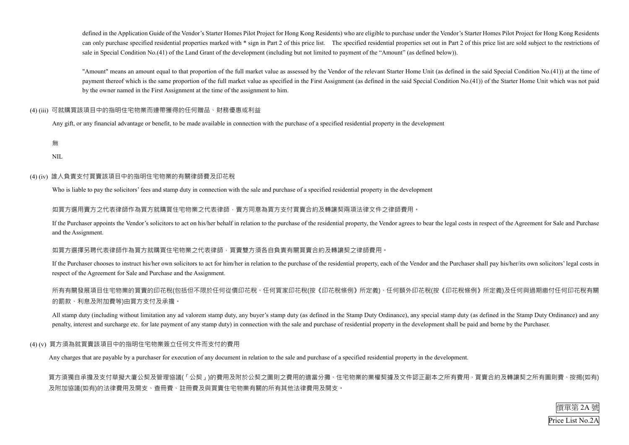價單第 2A 號

Price List No.2A

defined in the Application Guide of the Vendor's Starter Homes Pilot Project for Hong Kong Residents) who are eligible to purchase under the Vendor's Starter Homes Pilot Project for Hong Kong Residents can only purchase specified residential properties marked with \* sign in Part 2 of this price list. The specified residential properties set out in Part 2 of this price list are sold subject to the restrictions of sale in Special Condition No.(41) of the Land Grant of the development (including but not limited to payment of the "Amount" (as defined below)).

"Amount" means an amount equal to that proportion of the full market value as assessed by the Vendor of the relevant Starter Home Unit (as defined in the said Special Condition No.(41)) at the time of payment thereof which is the same proportion of the full market value as specified in the First Assignment (as defined in the said Special Condition No.(41)) of the Starter Home Unit which was not paid by the owner named in the First Assignment at the time of the assignment to him.

If the Purchaser chooses to instruct his/her own solicitors to act for him/her in relation to the purchase of the residential property, each of the Vendor and the Purchaser shall pay his/her/its own solicitors' legal costs respect of the Agreement for Sale and Purchase and the Assignment.

# (4) (iii) 可就購買該項目中的指明住宅物業而連帶獲得的任何贈品、財務優惠或利益

Any gift, or any financial advantage or benefit, to be made available in connection with the purchase of a specified residential property in the development

無

NIL

# (4) (iv) 誰人負責支付買賣該項目中的指明住宅物業的有關律師費及印花稅

All stamp duty (including without limitation any ad valorem stamp duty, any buyer's stamp duty (as defined in the Stamp duty as defined in the Stamp Duty Ordinance) and any penalty, interest and surcharge etc. for late payment of any stamp duty) in connection with the sale and purchase of residential property in the development shall be paid and borne by the Purchaser.

Who is liable to pay the solicitors' fees and stamp duty in connection with the sale and purchase of a specified residential property in the development

# 如買方選用賣方之代表律師作為買方就購買住宅物業之代表律師,賣方同意為買方支付買賣合約及轉讓契兩項法律文件之律師費用。

If the Purchaser appoints the Vendor's solicitors to act on his/her behalf in relation to the purchase of the residential property, the Vendor agrees to bear the legal costs in respect of the Agreement for Sale and Purchase and the Assignment.

# 如買方選擇另聘代表律師作為買方就購買住宅物業之代表律師,買賣雙方須各自負責有關買賣合約及轉讓契之律師費用。

所有有關發展項目住宅物業的買賣的印花稅(包括但不限於任何從價印花稅、任何買家印花稅(按《印花稅條例》所定義)、任何額外印花稅(按《印花稅條例》所定義)及任何與過期繳付任何印花稅有關 的罰款、利息及附加費等)由買方支付及承擔。

# (4) (v) 買方須為就買賣該項目中的指明住宅物業簽立任何文件而支付的費用

Any charges that are payable by a purchaser for execution of any document in relation to the sale and purchase of a specified residential property in the development.

買方須獨自承擔及支付草擬大廈公契及管理協議(「公契」)的費用及附於公契之圖則之費用的適當分攤、住宅物業的業權契據及文件認正副本之所有費用、買賣合約及轉讓契之所有圖則費、按揭(如有) 及附加協議(如有)的法律費用及開支、查冊費、註冊費及與買賣住宅物業有關的所有其他法律費用及開支。